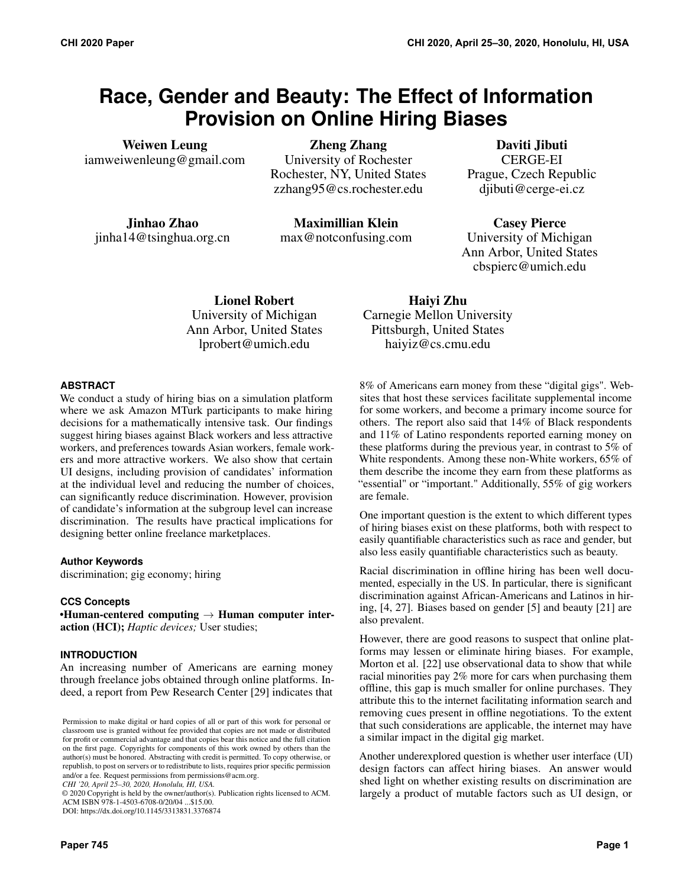# **Race, Gender and Beauty: The Effect of Information Provision on Online Hiring Biases**

Weiwen Leung iamweiwenleung@gmail.com

Zheng Zhang University of Rochester Rochester, NY, United States zzhang95@cs.rochester.edu

Jinhao Zhao jinha14@tsinghua.org.cn

Maximillian Klein max@notconfusing.com

Daviti Jibuti CERGE-EI Prague, Czech Republic djibuti@cerge-ei.cz

Casey Pierce University of Michigan Ann Arbor, United States cbspierc@umich.edu

Lionel Robert University of Michigan Ann Arbor, United States lprobert@umich.edu

Haiyi Zhu Carnegie Mellon University Pittsburgh, United States haiyiz@cs.cmu.edu

# **ABSTRACT**

We conduct a study of hiring bias on a simulation platform where we ask Amazon MTurk participants to make hiring decisions for a mathematically intensive task. Our findings suggest hiring biases against Black workers and less attractive workers, and preferences towards Asian workers, female workers and more attractive workers. We also show that certain UI designs, including provision of candidates' information at the individual level and reducing the number of choices, can significantly reduce discrimination. However, provision of candidate's information at the subgroup level can increase discrimination. The results have practical implications for designing better online freelance marketplaces.

# **Author Keywords**

discrimination; gig economy; hiring

# **CCS Concepts**

•Human-centered computing  $\rightarrow$  Human computer interaction (HCI); *Haptic devices;* User studies;

# **INTRODUCTION**

An increasing number of Americans are earning money through freelance jobs obtained through online platforms. Indeed, a report from Pew Research Center [\[29\]](#page-10-0) indicates that

*CHI '20, April 25–30, 2020, Honolulu, HI, USA.*

© 2020 Copyright is held by the owner/author(s). Publication rights licensed to ACM. ACM ISBN 978-1-4503-6708-0/20/04 ...\$15.00.

DOI: https://dx.doi.org/10.1145/3313831.3376874

8% of Americans earn money from these "digital gigs". Websites that host these services facilitate supplemental income for some workers, and become a primary income source for others. The report also said that 14% of Black respondents and 11% of Latino respondents reported earning money on these platforms during the previous year, in contrast to 5% of White respondents. Among these non-White workers, 65% of them describe the income they earn from these platforms as "essential" or "important." Additionally, 55% of gig workers are female.

One important question is the extent to which different types of hiring biases exist on these platforms, both with respect to easily quantifiable characteristics such as race and gender, but also less easily quantifiable characteristics such as beauty.

Racial discrimination in offline hiring has been well documented, especially in the US. In particular, there is significant discrimination against African-Americans and Latinos in hiring, [\[4,](#page-9-0) [27\]](#page-10-1). Biases based on gender [\[5\]](#page-9-1) and beauty [\[21\]](#page-10-2) are also prevalent.

However, there are good reasons to suspect that online platforms may lessen or eliminate hiring biases. For example, Morton et al. [\[22\]](#page-10-3) use observational data to show that while racial minorities pay 2% more for cars when purchasing them offline, this gap is much smaller for online purchases. They attribute this to the internet facilitating information search and removing cues present in offline negotiations. To the extent that such considerations are applicable, the internet may have a similar impact in the digital gig market.

Another underexplored question is whether user interface (UI) design factors can affect hiring biases. An answer would shed light on whether existing results on discrimination are largely a product of mutable factors such as UI design, or

Permission to make digital or hard copies of all or part of this work for personal or classroom use is granted without fee provided that copies are not made or distributed for profit or commercial advantage and that copies bear this notice and the full citation on the first page. Copyrights for components of this work owned by others than the author(s) must be honored. Abstracting with credit is permitted. To copy otherwise, or republish, to post on servers or to redistribute to lists, requires prior specific permission and/or a fee. Request permissions from permissions@acm.org.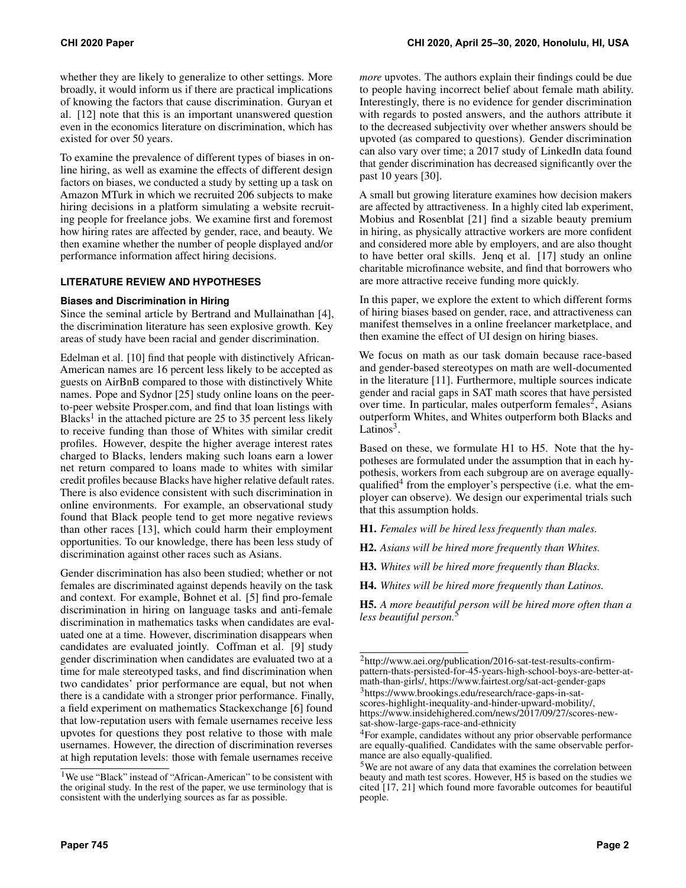whether they are likely to generalize to other settings. More broadly, it would inform us if there are practical implications of knowing the factors that cause discrimination. Guryan et al. [\[12\]](#page-9-2) note that this is an important unanswered question even in the economics literature on discrimination, which has existed for over 50 years.

To examine the prevalence of different types of biases in online hiring, as well as examine the effects of different design factors on biases, we conducted a study by setting up a task on Amazon MTurk in which we recruited 206 subjects to make hiring decisions in a platform simulating a website recruiting people for freelance jobs. We examine first and foremost how hiring rates are affected by gender, race, and beauty. We then examine whether the number of people displayed and/or performance information affect hiring decisions.

## **LITERATURE REVIEW AND HYPOTHESES**

#### **Biases and Discrimination in Hiring**

Since the seminal article by Bertrand and Mullainathan [\[4\]](#page-9-0), the discrimination literature has seen explosive growth. Key areas of study have been racial and gender discrimination.

Edelman et al. [\[10\]](#page-9-3) find that people with distinctively African-American names are 16 percent less likely to be accepted as guests on AirBnB compared to those with distinctively White names. Pope and Sydnor [\[25\]](#page-10-4) study online loans on the peerto-peer website Prosper.com, and find that loan listings with Blacks<sup>[1](#page-1-0)</sup> in the attached picture are 25 to 35 percent less likely to receive funding than those of Whites with similar credit profiles. However, despite the higher average interest rates charged to Blacks, lenders making such loans earn a lower net return compared to loans made to whites with similar credit profiles because Blacks have higher relative default rates. There is also evidence consistent with such discrimination in online environments. For example, an observational study found that Black people tend to get more negative reviews than other races [\[13\]](#page-9-4), which could harm their employment opportunities. To our knowledge, there has been less study of discrimination against other races such as Asians.

Gender discrimination has also been studied; whether or not females are discriminated against depends heavily on the task and context. For example, Bohnet et al. [\[5\]](#page-9-1) find pro-female discrimination in hiring on language tasks and anti-female discrimination in mathematics tasks when candidates are evaluated one at a time. However, discrimination disappears when candidates are evaluated jointly. Coffman et al. [\[9\]](#page-9-5) study gender discrimination when candidates are evaluated two at a time for male stereotyped tasks, and find discrimination when two candidates' prior performance are equal, but not when there is a candidate with a stronger prior performance. Finally, a field experiment on mathematics Stackexchange [\[6\]](#page-9-6) found that low-reputation users with female usernames receive less upvotes for questions they post relative to those with male usernames. However, the direction of discrimination reverses at high reputation levels: those with female usernames receive

*more* upvotes. The authors explain their findings could be due to people having incorrect belief about female math ability. Interestingly, there is no evidence for gender discrimination with regards to posted answers, and the authors attribute it to the decreased subjectivity over whether answers should be upvoted (as compared to questions). Gender discrimination can also vary over time; a 2017 study of LinkedIn data found that gender discrimination has decreased significantly over the past 10 years [\[30\]](#page-10-5).

A small but growing literature examines how decision makers are affected by attractiveness. In a highly cited lab experiment, Mobius and Rosenblat [\[21\]](#page-10-2) find a sizable beauty premium in hiring, as physically attractive workers are more confident and considered more able by employers, and are also thought to have better oral skills. Jenq et al. [\[17\]](#page-10-6) study an online charitable microfinance website, and find that borrowers who are more attractive receive funding more quickly.

In this paper, we explore the extent to which different forms of hiring biases based on gender, race, and attractiveness can manifest themselves in a online freelancer marketplace, and then examine the effect of UI design on hiring biases.

We focus on math as our task domain because race-based and gender-based stereotypes on math are well-documented in the literature [\[11\]](#page-9-7). Furthermore, multiple sources indicate gender and racial gaps in SAT math scores that have persisted over time. In particular, males outperform females<sup>[2](#page-1-1)</sup>, Asians outperform Whites, and Whites outperform both Blacks and Latinos<sup>[3](#page-1-2)</sup>.

Based on these, we formulate H1 to H5. Note that the hypotheses are formulated under the assumption that in each hypothesis, workers from each subgroup are on average equally-qualified<sup>[4](#page-1-3)</sup> from the employer's perspective (i.e. what the employer can observe). We design our experimental trials such that this assumption holds.

H1. *Females will be hired less frequently than males.*

H2. *Asians will be hired more frequently than Whites.*

H3. *Whites will be hired more frequently than Blacks.*

H4. *Whites will be hired more frequently than Latinos.*

H5. *A more beautiful person will be hired more often than a less beautiful person.*[5](#page-1-4)

<span id="page-1-0"></span><sup>&</sup>lt;sup>1</sup>We use "Black" instead of "African-American" to be consistent with the original study. In the rest of the paper, we use terminology that is consistent with the underlying sources as far as possible.

<span id="page-1-1"></span><sup>2</sup>http://www.aei.org/publication/2016-sat-test-results-confirmpattern-thats-persisted-for-45-years-high-school-boys-are-better-atmath-than-girls/, https://www.fairtest.org/sat-act-gender-gaps

<span id="page-1-2"></span><sup>3</sup>https://www.brookings.edu/research/race-gaps-in-satscores-highlight-inequality-and-hinder-upward-mobility/, https://www.insidehighered.com/news/2017/09/27/scores-newsat-show-large-gaps-race-and-ethnicity

<span id="page-1-3"></span><sup>4</sup>For example, candidates without any prior observable performance are equally-qualified. Candidates with the same observable performance are also equally-qualified.

<span id="page-1-4"></span><sup>5</sup>We are not aware of any data that examines the correlation between beauty and math test scores. However, H5 is based on the studies we cited [\[17,](#page-10-6) [21\]](#page-10-2) which found more favorable outcomes for beautiful people.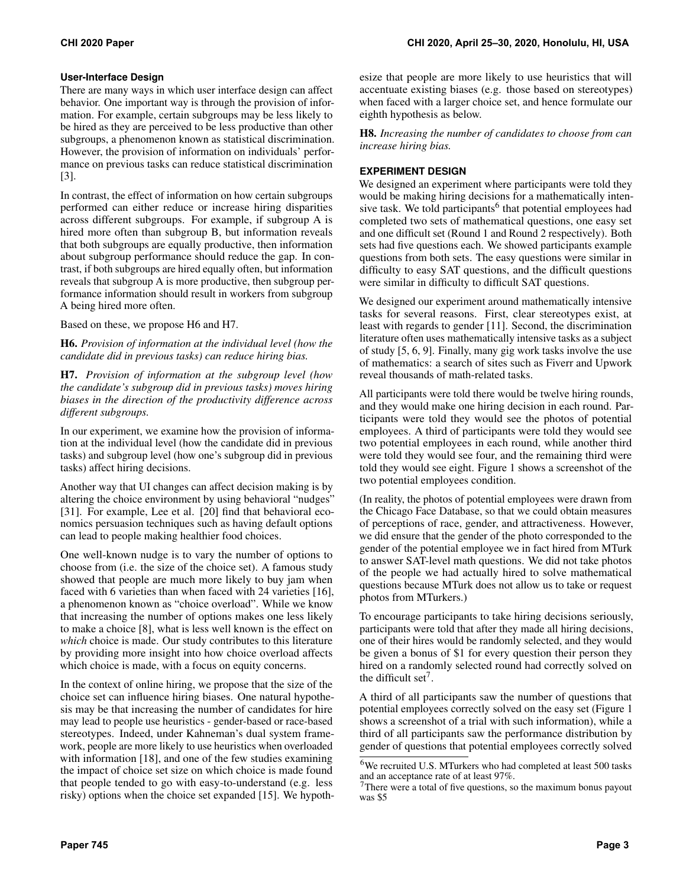#### **User-Interface Design**

There are many ways in which user interface design can affect behavior. One important way is through the provision of information. For example, certain subgroups may be less likely to be hired as they are perceived to be less productive than other subgroups, a phenomenon known as statistical discrimination. However, the provision of information on individuals' performance on previous tasks can reduce statistical discrimination [\[3\]](#page-9-8).

In contrast, the effect of information on how certain subgroups performed can either reduce or increase hiring disparities across different subgroups. For example, if subgroup A is hired more often than subgroup B, but information reveals that both subgroups are equally productive, then information about subgroup performance should reduce the gap. In contrast, if both subgroups are hired equally often, but information reveals that subgroup A is more productive, then subgroup performance information should result in workers from subgroup A being hired more often.

Based on these, we propose H6 and H7.

H6. *Provision of information at the individual level (how the candidate did in previous tasks) can reduce hiring bias.*

H7. *Provision of information at the subgroup level (how the candidate's subgroup did in previous tasks) moves hiring biases in the direction of the productivity difference across different subgroups.*

In our experiment, we examine how the provision of information at the individual level (how the candidate did in previous tasks) and subgroup level (how one's subgroup did in previous tasks) affect hiring decisions.

Another way that UI changes can affect decision making is by altering the choice environment by using behavioral "nudges" [\[31\]](#page-10-7). For example, Lee et al. [\[20\]](#page-10-8) find that behavioral economics persuasion techniques such as having default options can lead to people making healthier food choices.

One well-known nudge is to vary the number of options to choose from (i.e. the size of the choice set). A famous study showed that people are much more likely to buy jam when faced with 6 varieties than when faced with 24 varieties [\[16\]](#page-10-9), a phenomenon known as "choice overload". While we know that increasing the number of options makes one less likely to make a choice [\[8\]](#page-9-9), what is less well known is the effect on *which* choice is made. Our study contributes to this literature by providing more insight into how choice overload affects which choice is made, with a focus on equity concerns.

In the context of online hiring, we propose that the size of the choice set can influence hiring biases. One natural hypothesis may be that increasing the number of candidates for hire may lead to people use heuristics - gender-based or race-based stereotypes. Indeed, under Kahneman's dual system framework, people are more likely to use heuristics when overloaded with information [\[18\]](#page-10-10), and one of the few studies examining the impact of choice set size on which choice is made found that people tended to go with easy-to-understand (e.g. less risky) options when the choice set expanded [\[15\]](#page-10-11). We hypothesize that people are more likely to use heuristics that will accentuate existing biases (e.g. those based on stereotypes) when faced with a larger choice set, and hence formulate our eighth hypothesis as below.

H8. *Increasing the number of candidates to choose from can increase hiring bias.*

# **EXPERIMENT DESIGN**

We designed an experiment where participants were told they would be making hiring decisions for a mathematically inten-sive task. We told participants<sup>[6](#page-2-0)</sup> that potential employees had completed two sets of mathematical questions, one easy set and one difficult set (Round 1 and Round 2 respectively). Both sets had five questions each. We showed participants example questions from both sets. The easy questions were similar in difficulty to easy SAT questions, and the difficult questions were similar in difficulty to difficult SAT questions.

We designed our experiment around mathematically intensive tasks for several reasons. First, clear stereotypes exist, at least with regards to gender [\[11\]](#page-9-7). Second, the discrimination literature often uses mathematically intensive tasks as a subject of study [\[5,](#page-9-1) [6,](#page-9-6) [9\]](#page-9-5). Finally, many gig work tasks involve the use of mathematics: a search of sites such as Fiverr and Upwork reveal thousands of math-related tasks.

All participants were told there would be twelve hiring rounds, and they would make one hiring decision in each round. Participants were told they would see the photos of potential employees. A third of participants were told they would see two potential employees in each round, while another third were told they would see four, and the remaining third were told they would see eight. Figure [1](#page-3-0) shows a screenshot of the two potential employees condition.

(In reality, the photos of potential employees were drawn from the Chicago Face Database, so that we could obtain measures of perceptions of race, gender, and attractiveness. However, we did ensure that the gender of the photo corresponded to the gender of the potential employee we in fact hired from MTurk to answer SAT-level math questions. We did not take photos of the people we had actually hired to solve mathematical questions because MTurk does not allow us to take or request photos from MTurkers.)

To encourage participants to take hiring decisions seriously, participants were told that after they made all hiring decisions, one of their hires would be randomly selected, and they would be given a bonus of \$1 for every question their person they hired on a randomly selected round had correctly solved on the difficult set<sup>[7](#page-2-1)</sup>.

A third of all participants saw the number of questions that potential employees correctly solved on the easy set (Figure [1](#page-3-0) shows a screenshot of a trial with such information), while a third of all participants saw the performance distribution by gender of questions that potential employees correctly solved

<span id="page-2-0"></span><sup>6</sup>We recruited U.S. MTurkers who had completed at least 500 tasks and an acceptance rate of at least 97%.

<span id="page-2-1"></span> $7$ There were a total of five questions, so the maximum bonus payout was \$5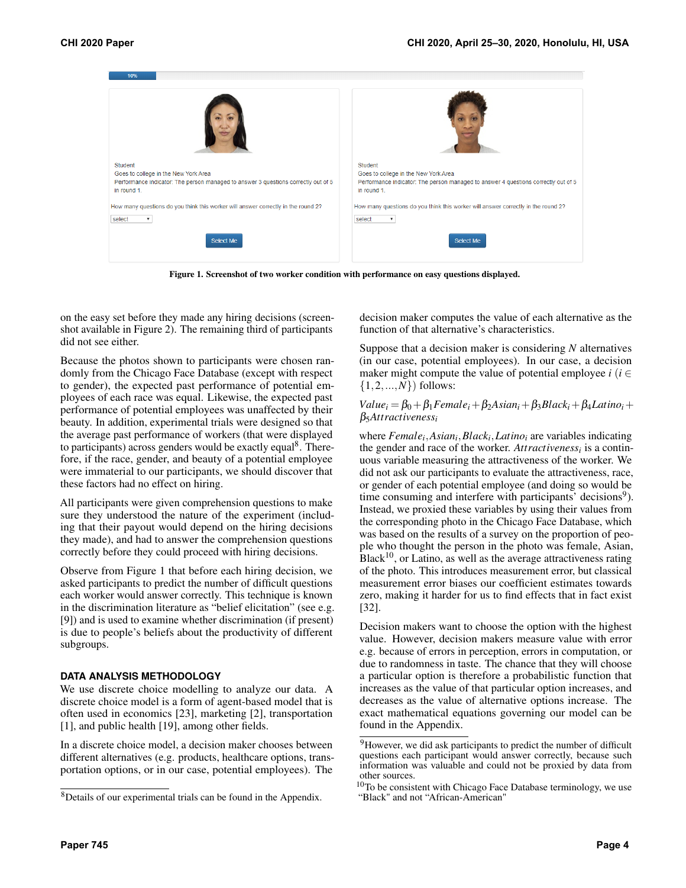

Figure 1. Screenshot of two worker condition with performance on easy questions displayed.

<span id="page-3-0"></span>on the easy set before they made any hiring decisions (screenshot available in Figure [2\)](#page-4-0). The remaining third of participants did not see either.

Because the photos shown to participants were chosen randomly from the Chicago Face Database (except with respect to gender), the expected past performance of potential employees of each race was equal. Likewise, the expected past performance of potential employees was unaffected by their beauty. In addition, experimental trials were designed so that the average past performance of workers (that were displayed to participants) across genders would be exactly equal<sup>[8](#page-3-1)</sup>. Therefore, if the race, gender, and beauty of a potential employee were immaterial to our participants, we should discover that these factors had no effect on hiring.

All participants were given comprehension questions to make sure they understood the nature of the experiment (including that their payout would depend on the hiring decisions they made), and had to answer the comprehension questions correctly before they could proceed with hiring decisions.

Observe from Figure [1](#page-3-0) that before each hiring decision, we asked participants to predict the number of difficult questions each worker would answer correctly. This technique is known in the discrimination literature as "belief elicitation" (see e.g. [\[9\]](#page-9-5)) and is used to examine whether discrimination (if present) is due to people's beliefs about the productivity of different subgroups.

#### **DATA ANALYSIS METHODOLOGY**

We use discrete choice modelling to analyze our data. A discrete choice model is a form of agent-based model that is often used in economics [\[23\]](#page-10-12), marketing [\[2\]](#page-9-10), transportation [\[1\]](#page-9-11), and public health [\[19\]](#page-10-13), among other fields.

In a discrete choice model, a decision maker chooses between different alternatives (e.g. products, healthcare options, transportation options, or in our case, potential employees). The

decision maker computes the value of each alternative as the function of that alternative's characteristics.

Suppose that a decision maker is considering *N* alternatives (in our case, potential employees). In our case, a decision maker might compute the value of potential employee  $i$  ( $i \in$  $\{1, 2, ..., N\}$  follows:

## $Value_i = \beta_0 + \beta_1 Female_i + \beta_2 Asian_i + \beta_3 Black_i + \beta_4 Latin_i + \cdots$ β5*Attractiveness<sup>i</sup>*

where *Female<sup>i</sup>* ,*Asian<sup>i</sup>* ,*Black<sup>i</sup>* ,*Latino<sup>i</sup>* are variables indicating the gender and race of the worker. *Attractiveness<sup>i</sup>* is a continuous variable measuring the attractiveness of the worker. We did not ask our participants to evaluate the attractiveness, race, or gender of each potential employee (and doing so would be time consuming and interfere with participants' decisions<sup>[9](#page-3-2)</sup>). Instead, we proxied these variables by using their values from the corresponding photo in the Chicago Face Database, which was based on the results of a survey on the proportion of people who thought the person in the photo was female, Asian,  $Black<sup>10</sup>$  $Black<sup>10</sup>$  $Black<sup>10</sup>$ , or Latino, as well as the average attractiveness rating of the photo. This introduces measurement error, but classical measurement error biases our coefficient estimates towards zero, making it harder for us to find effects that in fact exist [\[32\]](#page-10-14).

Decision makers want to choose the option with the highest value. However, decision makers measure value with error e.g. because of errors in perception, errors in computation, or due to randomness in taste. The chance that they will choose a particular option is therefore a probabilistic function that increases as the value of that particular option increases, and decreases as the value of alternative options increase. The exact mathematical equations governing our model can be found in the Appendix.

<span id="page-3-1"></span><sup>8</sup>Details of our experimental trials can be found in the Appendix.

<span id="page-3-2"></span><sup>&</sup>lt;sup>9</sup>However, we did ask participants to predict the number of difficult questions each participant would answer correctly, because such information was valuable and could not be proxied by data from other sources.

<span id="page-3-3"></span> $10$ To be consistent with Chicago Face Database terminology, we use "Black" and not "African-American"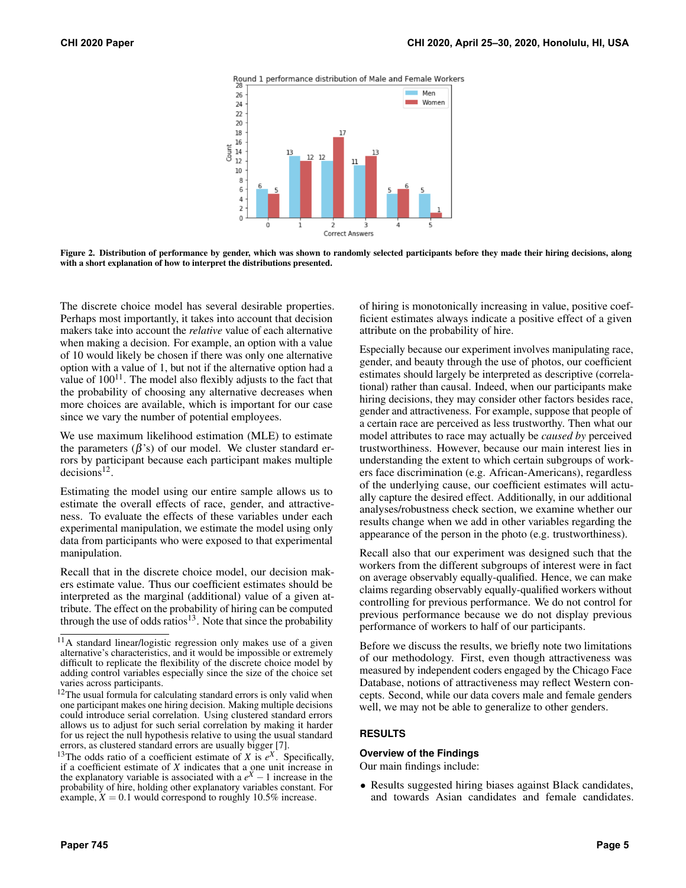



<span id="page-4-0"></span>Figure 2. Distribution of performance by gender, which was shown to randomly selected participants before they made their hiring decisions, along with a short explanation of how to interpret the distributions presented.

The discrete choice model has several desirable properties. Perhaps most importantly, it takes into account that decision makers take into account the *relative* value of each alternative when making a decision. For example, an option with a value of 10 would likely be chosen if there was only one alternative option with a value of 1, but not if the alternative option had a value of  $100^{11}$  $100^{11}$  $100^{11}$ . The model also flexibly adjusts to the fact that the probability of choosing any alternative decreases when more choices are available, which is important for our case since we vary the number of potential employees.

We use maximum likelihood estimation (MLE) to estimate the parameters  $(\beta's)$  of our model. We cluster standard errors by participant because each participant makes multiple  $decisions^{12}$  $decisions^{12}$  $decisions^{12}$ .

Estimating the model using our entire sample allows us to estimate the overall effects of race, gender, and attractiveness. To evaluate the effects of these variables under each experimental manipulation, we estimate the model using only data from participants who were exposed to that experimental manipulation.

Recall that in the discrete choice model, our decision makers estimate value. Thus our coefficient estimates should be interpreted as the marginal (additional) value of a given attribute. The effect on the probability of hiring can be computed through the use of odds ratios<sup>[13](#page-4-3)</sup>. Note that since the probability

of hiring is monotonically increasing in value, positive coefficient estimates always indicate a positive effect of a given attribute on the probability of hire.

Especially because our experiment involves manipulating race, gender, and beauty through the use of photos, our coefficient estimates should largely be interpreted as descriptive (correlational) rather than causal. Indeed, when our participants make hiring decisions, they may consider other factors besides race, gender and attractiveness. For example, suppose that people of a certain race are perceived as less trustworthy. Then what our model attributes to race may actually be *caused by* perceived trustworthiness. However, because our main interest lies in understanding the extent to which certain subgroups of workers face discrimination (e.g. African-Americans), regardless of the underlying cause, our coefficient estimates will actually capture the desired effect. Additionally, in our additional analyses/robustness check section, we examine whether our results change when we add in other variables regarding the appearance of the person in the photo (e.g. trustworthiness).

Recall also that our experiment was designed such that the workers from the different subgroups of interest were in fact on average observably equally-qualified. Hence, we can make claims regarding observably equally-qualified workers without controlling for previous performance. We do not control for previous performance because we do not display previous performance of workers to half of our participants.

Before we discuss the results, we briefly note two limitations of our methodology. First, even though attractiveness was measured by independent coders engaged by the Chicago Face Database, notions of attractiveness may reflect Western concepts. Second, while our data covers male and female genders well, we may not be able to generalize to other genders.

#### **RESULTS**

#### **Overview of the Findings**

Our main findings include:

• Results suggested hiring biases against Black candidates, and towards Asian candidates and female candidates.

<span id="page-4-1"></span><sup>11</sup>A standard linear/logistic regression only makes use of a given alternative's characteristics, and it would be impossible or extremely difficult to replicate the flexibility of the discrete choice model by adding control variables especially since the size of the choice set varies across participants.

<span id="page-4-2"></span><sup>&</sup>lt;sup>12</sup>The usual formula for calculating standard errors is only valid when one participant makes one hiring decision. Making multiple decisions could introduce serial correlation. Using clustered standard errors allows us to adjust for such serial correlation by making it harder for us reject the null hypothesis relative to using the usual standard errors, as clustered standard errors are usually bigger [\[7\]](#page-9-12).

<span id="page-4-3"></span><sup>&</sup>lt;sup>13</sup>The odds ratio of a coefficient estimate of *X* is  $e^X$ . Specifically, if a coefficient estimate of  $X$  indicates that a one unit increase in the explanatory variable is associated with a  $e^X - 1$  increase in the probability of hire, holding other explanatory variables constant. For example,  $X = 0.1$  would correspond to roughly 10.5% increase.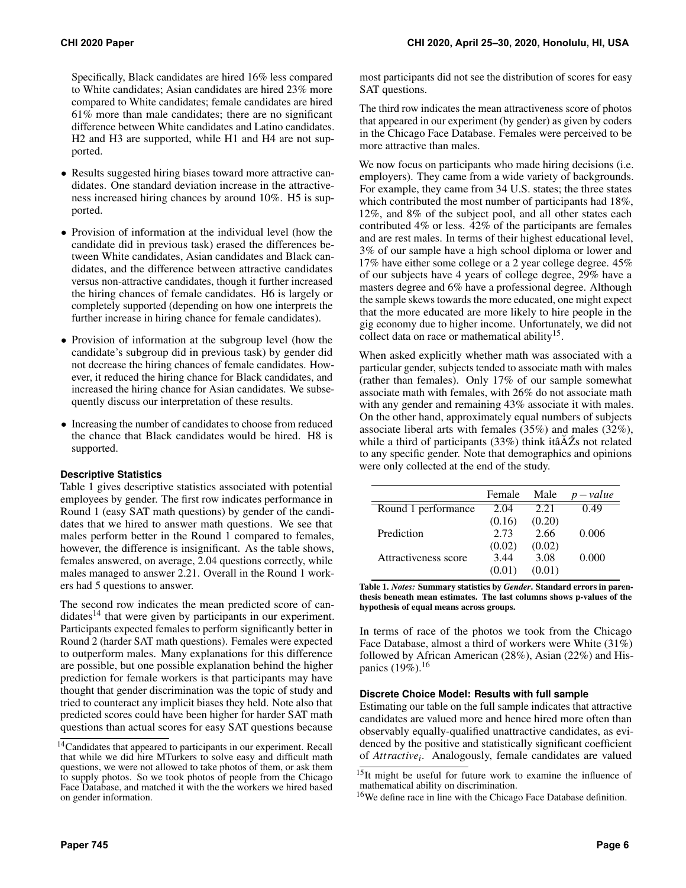Specifically, Black candidates are hired 16% less compared to White candidates; Asian candidates are hired 23% more compared to White candidates; female candidates are hired 61% more than male candidates; there are no significant difference between White candidates and Latino candidates. H2 and H3 are supported, while H1 and H4 are not supported.

- Results suggested hiring biases toward more attractive candidates. One standard deviation increase in the attractiveness increased hiring chances by around 10%. H5 is supported.
- Provision of information at the individual level (how the candidate did in previous task) erased the differences between White candidates, Asian candidates and Black candidates, and the difference between attractive candidates versus non-attractive candidates, though it further increased the hiring chances of female candidates. H6 is largely or completely supported (depending on how one interprets the further increase in hiring chance for female candidates).
- Provision of information at the subgroup level (how the candidate's subgroup did in previous task) by gender did not decrease the hiring chances of female candidates. However, it reduced the hiring chance for Black candidates, and increased the hiring chance for Asian candidates. We subsequently discuss our interpretation of these results.
- Increasing the number of candidates to choose from reduced the chance that Black candidates would be hired. H8 is supported.

# **Descriptive Statistics**

Table 1 gives descriptive statistics associated with potential employees by gender. The first row indicates performance in Round 1 (easy SAT math questions) by gender of the candidates that we hired to answer math questions. We see that males perform better in the Round 1 compared to females, however, the difference is insignificant. As the table shows, females answered, on average, 2.04 questions correctly, while males managed to answer 2.21. Overall in the Round 1 workers had 5 questions to answer.

The second row indicates the mean predicted score of can- $didates<sup>14</sup> that were given by participants in our experiment.$  $didates<sup>14</sup> that were given by participants in our experiment.$  $didates<sup>14</sup> that were given by participants in our experiment.$ Participants expected females to perform significantly better in Round 2 (harder SAT math questions). Females were expected to outperform males. Many explanations for this difference are possible, but one possible explanation behind the higher prediction for female workers is that participants may have thought that gender discrimination was the topic of study and tried to counteract any implicit biases they held. Note also that predicted scores could have been higher for harder SAT math questions than actual scores for easy SAT questions because

most participants did not see the distribution of scores for easy SAT questions.

The third row indicates the mean attractiveness score of photos that appeared in our experiment (by gender) as given by coders in the Chicago Face Database. Females were perceived to be more attractive than males.

We now focus on participants who made hiring decisions (i.e. employers). They came from a wide variety of backgrounds. For example, they came from 34 U.S. states; the three states which contributed the most number of participants had 18%, 12%, and 8% of the subject pool, and all other states each contributed 4% or less. 42% of the participants are females and are rest males. In terms of their highest educational level, 3% of our sample have a high school diploma or lower and 17% have either some college or a 2 year college degree. 45% of our subjects have 4 years of college degree, 29% have a masters degree and 6% have a professional degree. Although the sample skews towards the more educated, one might expect that the more educated are more likely to hire people in the gig economy due to higher income. Unfortunately, we did not collect data on race or mathematical ability<sup>[15](#page-5-1)</sup>.

When asked explicitly whether math was associated with a particular gender, subjects tended to associate math with males (rather than females). Only 17% of our sample somewhat associate math with females, with 26% do not associate math with any gender and remaining 43% associate it with males. On the other hand, approximately equal numbers of subjects associate liberal arts with females (35%) and males (32%), while a third of participants  $(33%)$  think itâ $\overline{A}Z$ s not related to any specific gender. Note that demographics and opinions were only collected at the end of the study.

|                      | Female | Male   | $-value$ |
|----------------------|--------|--------|----------|
| Round 1 performance  | 2.04   | 2.21   | 0.49     |
|                      | (0.16) | (0.20) |          |
| Prediction           | 2.73   | 2.66   | 0.006    |
|                      | (0.02) | (0.02) |          |
| Attractiveness score | 3.44   | 3.08   | 0.000    |
|                      | (0.01) | (0.01) |          |

Table 1. *Notes:* Summary statistics by *Gender*. Standard errors in parenthesis beneath mean estimates. The last columns shows p-values of the hypothesis of equal means across groups.

In terms of race of the photos we took from the Chicago Face Database, almost a third of workers were White (31%) followed by African American (28%), Asian (22%) and His-panics (19%).<sup>[16](#page-5-2)</sup>

#### **Discrete Choice Model: Results with full sample**

Estimating our table on the full sample indicates that attractive candidates are valued more and hence hired more often than observably equally-qualified unattractive candidates, as evidenced by the positive and statistically significant coefficient of *Attractive<sup>i</sup>* . Analogously, female candidates are valued

<span id="page-5-0"></span><sup>&</sup>lt;sup>14</sup>Candidates that appeared to participants in our experiment. Recall that while we did hire MTurkers to solve easy and difficult math questions, we were not allowed to take photos of them, or ask them to supply photos. So we took photos of people from the Chicago Face Database, and matched it with the the workers we hired based on gender information.

<span id="page-5-1"></span> $15$ It might be useful for future work to examine the influence of mathematical ability on discrimination.

<span id="page-5-2"></span><sup>16</sup>We define race in line with the Chicago Face Database definition.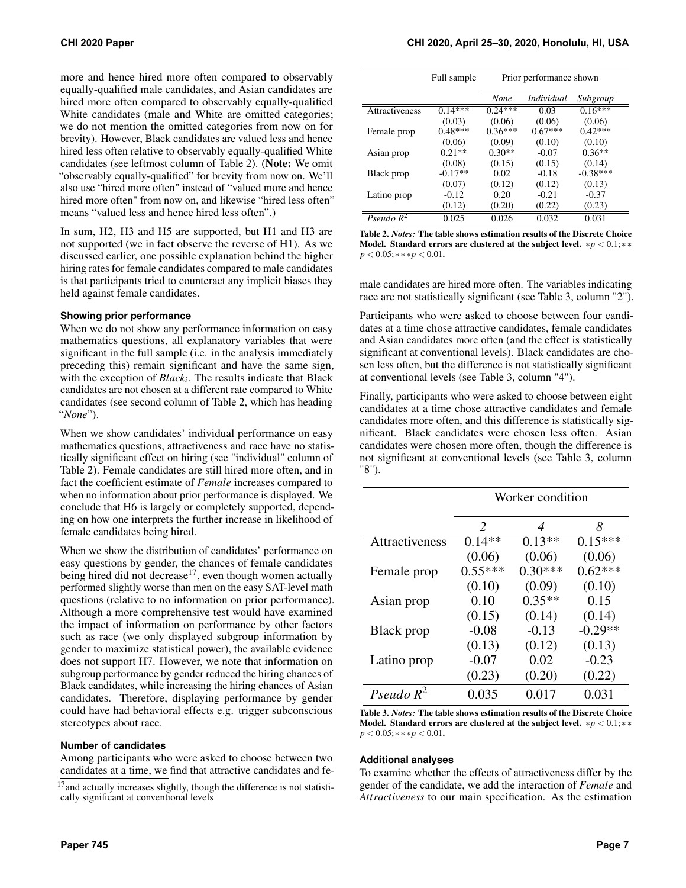more and hence hired more often compared to observably equally-qualified male candidates, and Asian candidates are hired more often compared to observably equally-qualified White candidates (male and White are omitted categories; we do not mention the omitted categories from now on for brevity). However, Black candidates are valued less and hence hired less often relative to observably equally-qualified White candidates (see leftmost column of Table 2). (Note: We omit "observably equally-qualified" for brevity from now on. We'll also use "hired more often" instead of "valued more and hence hired more often" from now on, and likewise "hired less often" means "valued less and hence hired less often".)

In sum, H2, H3 and H5 are supported, but H1 and H3 are not supported (we in fact observe the reverse of H1). As we discussed earlier, one possible explanation behind the higher hiring rates for female candidates compared to male candidates is that participants tried to counteract any implicit biases they held against female candidates.

#### **Showing prior performance**

When we do not show any performance information on easy mathematics questions, all explanatory variables that were significant in the full sample (i.e. in the analysis immediately preceding this) remain significant and have the same sign, with the exception of *Black<sup>i</sup>* . The results indicate that Black candidates are not chosen at a different rate compared to White candidates (see second column of Table 2, which has heading "*None*").

When we show candidates' individual performance on easy mathematics questions, attractiveness and race have no statistically significant effect on hiring (see "individual" column of Table 2). Female candidates are still hired more often, and in fact the coefficient estimate of *Female* increases compared to when no information about prior performance is displayed. We conclude that H6 is largely or completely supported, depending on how one interprets the further increase in likelihood of female candidates being hired.

When we show the distribution of candidates' performance on easy questions by gender, the chances of female candidates being hired did not decrease<sup>[17](#page-6-0)</sup>, even though women actually performed slightly worse than men on the easy SAT-level math questions (relative to no information on prior performance). Although a more comprehensive test would have examined the impact of information on performance by other factors such as race (we only displayed subgroup information by gender to maximize statistical power), the available evidence does not support H7. However, we note that information on subgroup performance by gender reduced the hiring chances of Black candidates, while increasing the hiring chances of Asian candidates. Therefore, displaying performance by gender could have had behavioral effects e.g. trigger subconscious stereotypes about race.

#### **Number of candidates**

Among participants who were asked to choose between two candidates at a time, we find that attractive candidates and fe-

|                       | Full sample | Prior performance shown |                   |            |
|-----------------------|-------------|-------------------------|-------------------|------------|
|                       |             | None                    | <i>Individual</i> | Subgroup   |
| <b>Attractiveness</b> | $0.14***$   | $0.24***$               | 0.03              | $0.16***$  |
|                       | (0.03)      | (0.06)                  | (0.06)            | (0.06)     |
| Female prop           | $0.48***$   | $0.36***$               | $0.67***$         | $0.42***$  |
|                       | (0.06)      | (0.09)                  | (0.10)            | (0.10)     |
| Asian prop            | $0.21**$    | $0.30**$                | $-0.07$           | $0.36**$   |
|                       | (0.08)      | (0.15)                  | (0.15)            | (0.14)     |
| Black prop            | $-0.17**$   | 0.02                    | $-0.18$           | $-0.38***$ |
|                       | (0.07)      | (0.12)                  | (0.12)            | (0.13)     |
| Latino prop           | $-0.12$     | 0.20                    | $-0.21$           | $-0.37$    |
|                       | (0.12)      | (0.20)                  | (0.22)            | (0.23)     |
| Pseudo $R^2$          | 0.025       | 0.026                   | 0.032             | 0.031      |

Table 2. *Notes:* The table shows estimation results of the Discrete Choice Model. Standard errors are clustered at the subject level. ∗*p* < 0.1;∗ ∗ *p* < 0.05;∗ ∗ ∗*p* < 0.01.

male candidates are hired more often. The variables indicating race are not statistically significant (see Table 3, column "2").

Participants who were asked to choose between four candidates at a time chose attractive candidates, female candidates and Asian candidates more often (and the effect is statistically significant at conventional levels). Black candidates are chosen less often, but the difference is not statistically significant at conventional levels (see Table 3, column "4").

Finally, participants who were asked to choose between eight candidates at a time chose attractive candidates and female candidates more often, and this difference is statistically significant. Black candidates were chosen less often. Asian candidates were chosen more often, though the difference is not significant at conventional levels (see Table 3, column "8").

|                | Worker condition |           |           |  |
|----------------|------------------|-----------|-----------|--|
|                | 2                | 4         | 8         |  |
| Attractiveness | $0.14**$         | $0.13**$  | $0.15***$ |  |
|                | (0.06)           | (0.06)    | (0.06)    |  |
| Female prop    | $0.55***$        | $0.30***$ | $0.62***$ |  |
|                | (0.10)           | (0.09)    | (0.10)    |  |
| Asian prop     | 0.10             | $0.35**$  | 0.15      |  |
|                | (0.15)           | (0.14)    | (0.14)    |  |
| Black prop     | $-0.08$          | $-0.13$   | $-0.29**$ |  |
|                | (0.13)           | (0.12)    | (0.13)    |  |
| Latino prop    | $-0.07$          | 0.02      | $-0.23$   |  |
|                | (0.23)           | (0.20)    | (0.22)    |  |
| Pseudo $R^2$   | 0.035            | 0.017     | 0.031     |  |

Table 3. *Notes:* The table shows estimation results of the Discrete Choice Model. Standard errors are clustered at the subject level. ∗*p* < 0.1;∗ ∗ *p* < 0.05;∗ ∗ ∗*p* < 0.01.

#### **Additional analyses**

To examine whether the effects of attractiveness differ by the gender of the candidate, we add the interaction of *Female* and *Attractiveness* to our main specification. As the estimation

<span id="page-6-0"></span><sup>&</sup>lt;sup>17</sup> and actually increases slightly, though the difference is not statistically significant at conventional levels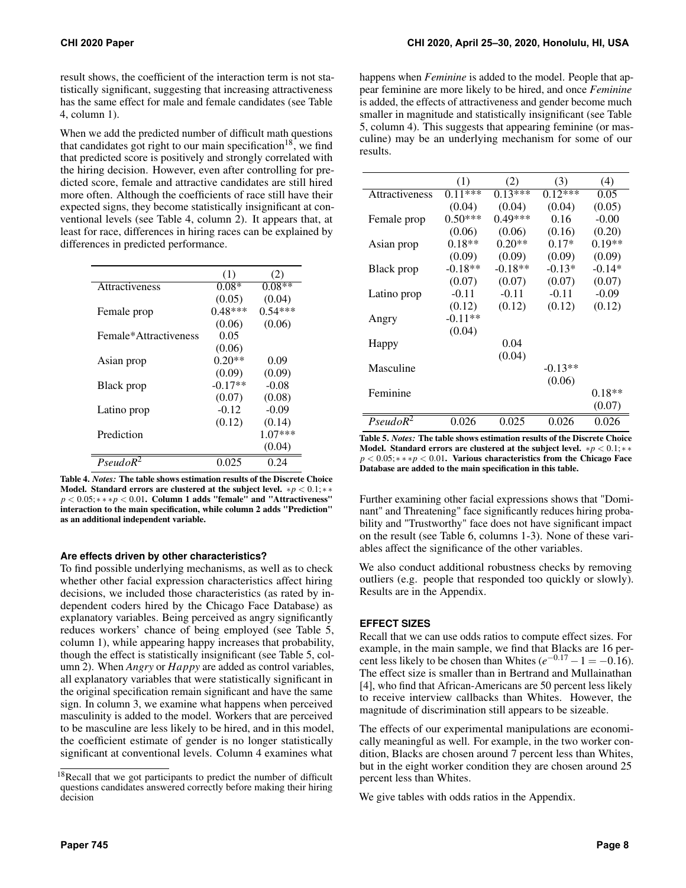result shows, the coefficient of the interaction term is not statistically significant, suggesting that increasing attractiveness has the same effect for male and female candidates (see Table 4, column 1).

When we add the predicted number of difficult math questions that candidates got right to our main specification<sup>[18](#page-7-0)</sup>, we find that predicted score is positively and strongly correlated with the hiring decision. However, even after controlling for predicted score, female and attractive candidates are still hired more often. Although the coefficients of race still have their expected signs, they become statistically insignificant at conventional levels (see Table 4, column 2). It appears that, at least for race, differences in hiring races can be explained by differences in predicted performance.

|                       | (1)       | (2)       |
|-----------------------|-----------|-----------|
| <b>Attractiveness</b> | $0.08*$   | $0.08**$  |
|                       | (0.05)    | (0.04)    |
| Female prop           | $0.48***$ | $0.54***$ |
|                       | (0.06)    | (0.06)    |
| Female*Attractiveness | 0.05      |           |
|                       | (0.06)    |           |
| Asian prop            | $0.20**$  | 0.09      |
|                       | (0.09)    | (0.09)    |
| Black prop            | $-0.17**$ | $-0.08$   |
|                       | (0.07)    | (0.08)    |
| Latino prop           | $-0.12$   | $-0.09$   |
|                       | (0.12)    | (0.14)    |
| Prediction            |           | $1.07***$ |
|                       |           | (0.04)    |
| PseudoR <sup>2</sup>  | 0.025     | 0.24      |

Table 4. *Notes:* The table shows estimation results of the Discrete Choice Model. Standard errors are clustered at the subject level. ∗*p* < 0.1;∗ ∗ *p* < 0.05; \* \* \* *p* < 0.01. Column 1 adds "female" and "Attractiveness" interaction to the main specification, while column 2 adds "Prediction" as an additional independent variable.

#### **Are effects driven by other characteristics?**

To find possible underlying mechanisms, as well as to check whether other facial expression characteristics affect hiring decisions, we included those characteristics (as rated by independent coders hired by the Chicago Face Database) as explanatory variables. Being perceived as angry significantly reduces workers' chance of being employed (see Table 5, column 1), while appearing happy increases that probability, though the effect is statistically insignificant (see Table 5, column 2). When *Angry* or *Happy* are added as control variables, all explanatory variables that were statistically significant in the original specification remain significant and have the same sign. In column 3, we examine what happens when perceived masculinity is added to the model. Workers that are perceived to be masculine are less likely to be hired, and in this model, the coefficient estimate of gender is no longer statistically significant at conventional levels. Column 4 examines what

happens when *Feminine* is added to the model. People that appear feminine are more likely to be hired, and once *Feminine* is added, the effects of attractiveness and gender become much smaller in magnitude and statistically insignificant (see Table 5, column 4). This suggests that appearing feminine (or masculine) may be an underlying mechanism for some of our results.

|                      | (1)       | (2)       | (3)       | (4)      |
|----------------------|-----------|-----------|-----------|----------|
| Attractiveness       | $0.11***$ | $0.13***$ | $0.12***$ | 0.05     |
|                      | (0.04)    | (0.04)    | (0.04)    | (0.05)   |
| Female prop          | $0.50***$ | $0.49***$ | 0.16      | $-0.00$  |
|                      | (0.06)    | (0.06)    | (0.16)    | (0.20)   |
| Asian prop           | $0.18**$  | $0.20**$  | $0.17*$   | $0.19**$ |
|                      | (0.09)    | (0.09)    | (0.09)    | (0.09)   |
| Black prop           | $-0.18**$ | $-0.18**$ | $-0.13*$  | $-0.14*$ |
|                      | (0.07)    | (0.07)    | (0.07)    | (0.07)   |
| Latino prop          | $-0.11$   | $-0.11$   | $-0.11$   | $-0.09$  |
|                      | (0.12)    | (0.12)    | (0.12)    | (0.12)   |
| Angry                | $-0.11**$ |           |           |          |
|                      | (0.04)    |           |           |          |
| Happy                |           | 0.04      |           |          |
|                      |           | (0.04)    |           |          |
| Masculine            |           |           | $-0.13**$ |          |
|                      |           |           | (0.06)    |          |
| Feminine             |           |           |           | $0.18**$ |
|                      |           |           |           | (0.07)   |
| PseudoR <sup>2</sup> | 0.026     | 0.025     | 0.026     | 0.026    |

Table 5. *Notes:* The table shows estimation results of the Discrete Choice Model. Standard errors are clustered at the subject level. ∗*p* < 0.1;∗ ∗ *p* < 0.05; \* \* \* *p* < 0.01. Various characteristics from the Chicago Face Database are added to the main specification in this table.

Further examining other facial expressions shows that "Dominant" and Threatening" face significantly reduces hiring probability and "Trustworthy" face does not have significant impact on the result (see Table 6, columns 1-3). None of these variables affect the significance of the other variables.

We also conduct additional robustness checks by removing outliers (e.g. people that responded too quickly or slowly). Results are in the Appendix.

# **EFFECT SIZES**

Recall that we can use odds ratios to compute effect sizes. For example, in the main sample, we find that Blacks are 16 percent less likely to be chosen than Whites  $(e^{-0.17} - 1 = -0.16)$ . The effect size is smaller than in Bertrand and Mullainathan [\[4\]](#page-9-0), who find that African-Americans are 50 percent less likely to receive interview callbacks than Whites. However, the magnitude of discrimination still appears to be sizeable.

The effects of our experimental manipulations are economically meaningful as well. For example, in the two worker condition, Blacks are chosen around 7 percent less than Whites, but in the eight worker condition they are chosen around 25 percent less than Whites.

We give tables with odds ratios in the Appendix.

<span id="page-7-0"></span><sup>&</sup>lt;sup>18</sup>Recall that we got participants to predict the number of difficult questions candidates answered correctly before making their hiring decision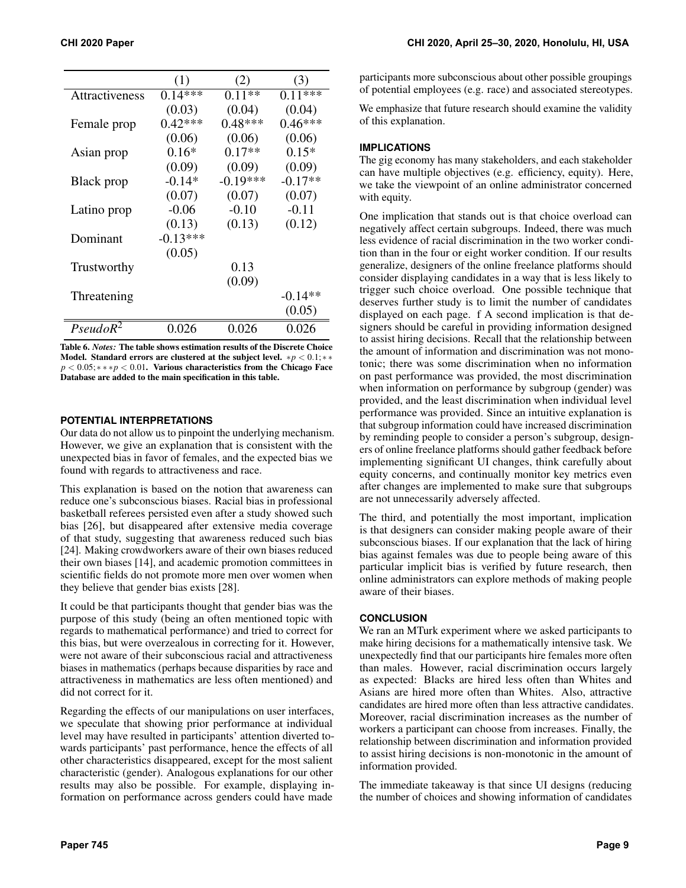|                | (1)        | (2)        | (3)       |
|----------------|------------|------------|-----------|
| Attractiveness | $0.14***$  | $0.11**$   | $0.11***$ |
|                | (0.03)     | (0.04)     | (0.04)    |
| Female prop    | $0.42***$  | $0.48***$  | $0.46***$ |
|                | (0.06)     | (0.06)     | (0.06)    |
| Asian prop     | $0.16*$    | $0.17**$   | $0.15*$   |
|                | (0.09)     | (0.09)     | (0.09)    |
| Black prop     | $-0.14*$   | $-0.19***$ | $-0.17**$ |
|                | (0.07)     | (0.07)     | (0.07)    |
| Latino prop    | $-0.06$    | $-0.10$    | $-0.11$   |
|                | (0.13)     | (0.13)     | (0.12)    |
| Dominant       | $-0.13***$ |            |           |
|                | (0.05)     |            |           |
| Trustworthy    |            | 0.13       |           |
|                |            | (0.09)     |           |
| Threatening    |            |            | $-0.14**$ |
|                |            |            | (0.05)    |
| $PseudoR^2$    | 0.026      | 0.026      | 0.026     |

Table 6. *Notes:* The table shows estimation results of the Discrete Choice Model. Standard errors are clustered at the subject level. ∗*p* < 0.1;∗ ∗ *p* < 0.05; \* \* \* *p* < 0.01. Various characteristics from the Chicago Face Database are added to the main specification in this table.

#### **POTENTIAL INTERPRETATIONS**

Our data do not allow us to pinpoint the underlying mechanism. However, we give an explanation that is consistent with the unexpected bias in favor of females, and the expected bias we found with regards to attractiveness and race.

This explanation is based on the notion that awareness can reduce one's subconscious biases. Racial bias in professional basketball referees persisted even after a study showed such bias [\[26\]](#page-10-15), but disappeared after extensive media coverage of that study, suggesting that awareness reduced such bias [\[24\]](#page-10-16). Making crowdworkers aware of their own biases reduced their own biases [\[14\]](#page-9-13), and academic promotion committees in scientific fields do not promote more men over women when they believe that gender bias exists [\[28\]](#page-10-17).

It could be that participants thought that gender bias was the purpose of this study (being an often mentioned topic with regards to mathematical performance) and tried to correct for this bias, but were overzealous in correcting for it. However, were not aware of their subconscious racial and attractiveness biases in mathematics (perhaps because disparities by race and attractiveness in mathematics are less often mentioned) and did not correct for it.

Regarding the effects of our manipulations on user interfaces, we speculate that showing prior performance at individual level may have resulted in participants' attention diverted towards participants' past performance, hence the effects of all other characteristics disappeared, except for the most salient characteristic (gender). Analogous explanations for our other results may also be possible. For example, displaying information on performance across genders could have made

participants more subconscious about other possible groupings of potential employees (e.g. race) and associated stereotypes.

We emphasize that future research should examine the validity of this explanation.

#### **IMPLICATIONS**

The gig economy has many stakeholders, and each stakeholder can have multiple objectives (e.g. efficiency, equity). Here, we take the viewpoint of an online administrator concerned with equity.

One implication that stands out is that choice overload can negatively affect certain subgroups. Indeed, there was much less evidence of racial discrimination in the two worker condition than in the four or eight worker condition. If our results generalize, designers of the online freelance platforms should consider displaying candidates in a way that is less likely to trigger such choice overload. One possible technique that deserves further study is to limit the number of candidates displayed on each page. f A second implication is that designers should be careful in providing information designed to assist hiring decisions. Recall that the relationship between the amount of information and discrimination was not monotonic; there was some discrimination when no information on past performance was provided, the most discrimination when information on performance by subgroup (gender) was provided, and the least discrimination when individual level performance was provided. Since an intuitive explanation is that subgroup information could have increased discrimination by reminding people to consider a person's subgroup, designers of online freelance platforms should gather feedback before implementing significant UI changes, think carefully about equity concerns, and continually monitor key metrics even after changes are implemented to make sure that subgroups are not unnecessarily adversely affected.

The third, and potentially the most important, implication is that designers can consider making people aware of their subconscious biases. If our explanation that the lack of hiring bias against females was due to people being aware of this particular implicit bias is verified by future research, then online administrators can explore methods of making people aware of their biases.

#### **CONCLUSION**

We ran an MTurk experiment where we asked participants to make hiring decisions for a mathematically intensive task. We unexpectedly find that our participants hire females more often than males. However, racial discrimination occurs largely as expected: Blacks are hired less often than Whites and Asians are hired more often than Whites. Also, attractive candidates are hired more often than less attractive candidates. Moreover, racial discrimination increases as the number of workers a participant can choose from increases. Finally, the relationship between discrimination and information provided to assist hiring decisions is non-monotonic in the amount of information provided.

The immediate takeaway is that since UI designs (reducing the number of choices and showing information of candidates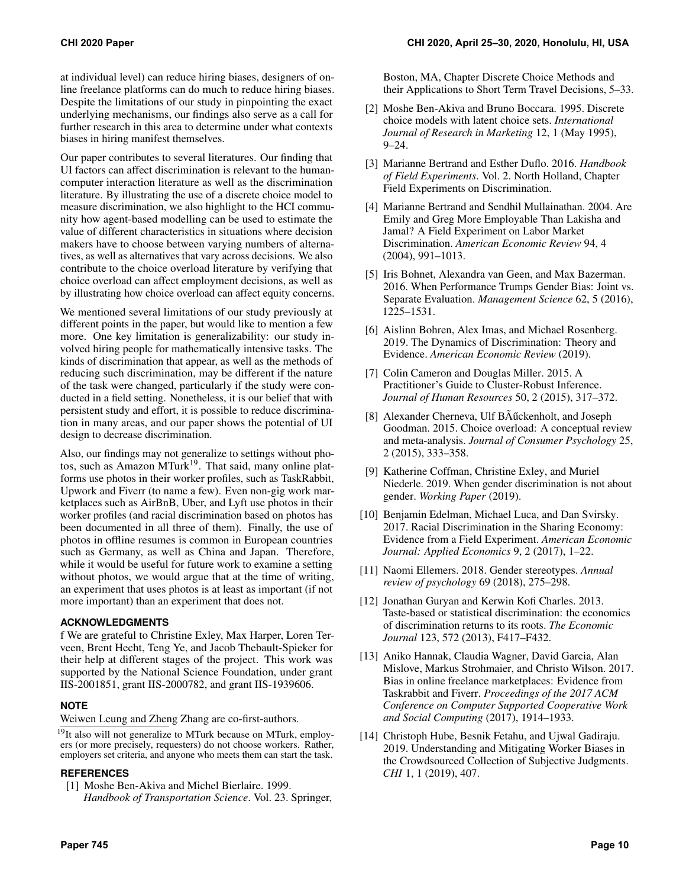at individual level) can reduce hiring biases, designers of online freelance platforms can do much to reduce hiring biases. Despite the limitations of our study in pinpointing the exact underlying mechanisms, our findings also serve as a call for further research in this area to determine under what contexts biases in hiring manifest themselves.

Our paper contributes to several literatures. Our finding that UI factors can affect discrimination is relevant to the humancomputer interaction literature as well as the discrimination literature. By illustrating the use of a discrete choice model to measure discrimination, we also highlight to the HCI community how agent-based modelling can be used to estimate the value of different characteristics in situations where decision makers have to choose between varying numbers of alternatives, as well as alternatives that vary across decisions. We also contribute to the choice overload literature by verifying that choice overload can affect employment decisions, as well as by illustrating how choice overload can affect equity concerns.

We mentioned several limitations of our study previously at different points in the paper, but would like to mention a few more. One key limitation is generalizability: our study involved hiring people for mathematically intensive tasks. The kinds of discrimination that appear, as well as the methods of reducing such discrimination, may be different if the nature of the task were changed, particularly if the study were conducted in a field setting. Nonetheless, it is our belief that with persistent study and effort, it is possible to reduce discrimination in many areas, and our paper shows the potential of UI design to decrease discrimination.

Also, our findings may not generalize to settings without pho-tos, such as Amazon MTurk<sup>[19](#page-9-14)</sup>. That said, many online platforms use photos in their worker profiles, such as TaskRabbit, Upwork and Fiverr (to name a few). Even non-gig work marketplaces such as AirBnB, Uber, and Lyft use photos in their worker profiles (and racial discrimination based on photos has been documented in all three of them). Finally, the use of photos in offline resumes is common in European countries such as Germany, as well as China and Japan. Therefore, while it would be useful for future work to examine a setting without photos, we would argue that at the time of writing, an experiment that uses photos is at least as important (if not more important) than an experiment that does not.

#### **ACKNOWLEDGMENTS**

f We are grateful to Christine Exley, Max Harper, Loren Terveen, Brent Hecht, Teng Ye, and Jacob Thebault-Spieker for their help at different stages of the project. This work was supported by the National Science Foundation, under grant IIS-2001851, grant IIS-2000782, and grant IIS-1939606.

# **NOTE**

Weiwen Leung and Zheng Zhang are co-first-authors.

<span id="page-9-14"></span><sup>19</sup>It also will not generalize to MTurk because on MTurk, employers (or more precisely, requesters) do not choose workers. Rather, employers set criteria, and anyone who meets them can start the task.

# <span id="page-9-11"></span>**REFERENCES**

[1] Moshe Ben-Akiva and Michel Bierlaire. 1999. *Handbook of Transportation Science*. Vol. 23. Springer,

Boston, MA, Chapter Discrete Choice Methods and their Applications to Short Term Travel Decisions, 5–33.

- <span id="page-9-10"></span>[2] Moshe Ben-Akiva and Bruno Boccara. 1995. Discrete choice models with latent choice sets. *International Journal of Research in Marketing* 12, 1 (May 1995),  $9 - 24.$
- <span id="page-9-8"></span>[3] Marianne Bertrand and Esther Duflo. 2016. *Handbook of Field Experiments*. Vol. 2. North Holland, Chapter Field Experiments on Discrimination.
- <span id="page-9-0"></span>[4] Marianne Bertrand and Sendhil Mullainathan. 2004. Are Emily and Greg More Employable Than Lakisha and Jamal? A Field Experiment on Labor Market Discrimination. *American Economic Review* 94, 4 (2004), 991–1013.
- <span id="page-9-1"></span>[5] Iris Bohnet, Alexandra van Geen, and Max Bazerman. 2016. When Performance Trumps Gender Bias: Joint vs. Separate Evaluation. *Management Science* 62, 5 (2016), 1225–1531.
- <span id="page-9-6"></span>[6] Aislinn Bohren, Alex Imas, and Michael Rosenberg. 2019. The Dynamics of Discrimination: Theory and Evidence. *American Economic Review* (2019).
- <span id="page-9-12"></span>[7] Colin Cameron and Douglas Miller. 2015. A Practitioner's Guide to Cluster-Robust Inference. *Journal of Human Resources* 50, 2 (2015), 317–372.
- <span id="page-9-9"></span>[8] Alexander Cherneva, Ulf BAűckenholt, and Joseph Goodman. 2015. Choice overload: A conceptual review and meta-analysis. *Journal of Consumer Psychology* 25, 2 (2015), 333–358.
- <span id="page-9-5"></span>[9] Katherine Coffman, Christine Exley, and Muriel Niederle. 2019. When gender discrimination is not about gender. *Working Paper* (2019).
- <span id="page-9-3"></span>[10] Benjamin Edelman, Michael Luca, and Dan Svirsky. 2017. Racial Discrimination in the Sharing Economy: Evidence from a Field Experiment. *American Economic Journal: Applied Economics* 9, 2 (2017), 1–22.
- <span id="page-9-7"></span>[11] Naomi Ellemers. 2018. Gender stereotypes. *Annual review of psychology* 69 (2018), 275–298.
- <span id="page-9-2"></span>[12] Jonathan Guryan and Kerwin Kofi Charles. 2013. Taste-based or statistical discrimination: the economics of discrimination returns to its roots. *The Economic Journal* 123, 572 (2013), F417–F432.
- <span id="page-9-4"></span>[13] Aniko Hannak, Claudia Wagner, David Garcia, Alan Mislove, Markus Strohmaier, and Christo Wilson. 2017. Bias in online freelance marketplaces: Evidence from Taskrabbit and Fiverr. *Proceedings of the 2017 ACM Conference on Computer Supported Cooperative Work and Social Computing* (2017), 1914–1933.
- <span id="page-9-13"></span>[14] Christoph Hube, Besnik Fetahu, and Ujwal Gadiraju. 2019. Understanding and Mitigating Worker Biases in the Crowdsourced Collection of Subjective Judgments. *CHI* 1, 1 (2019), 407.